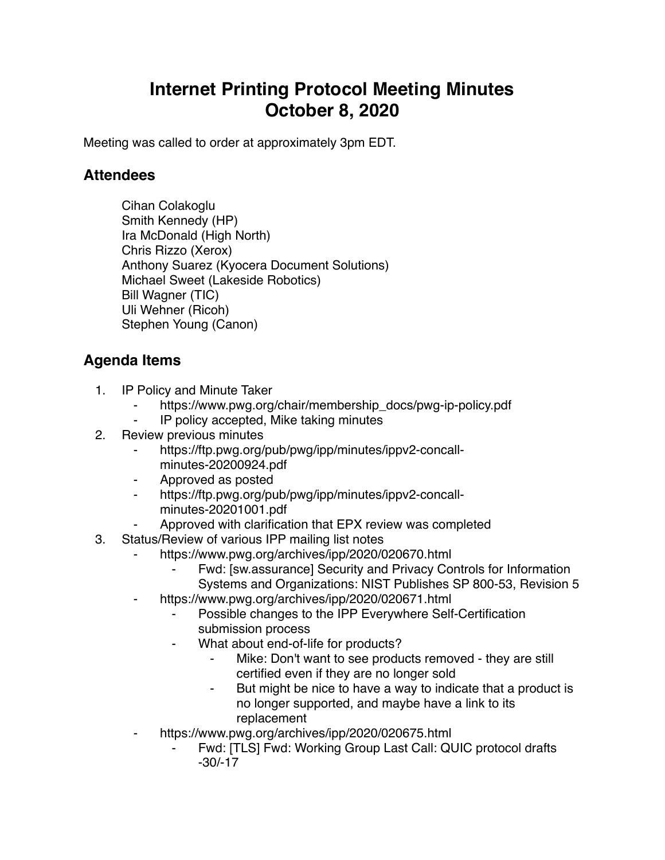## **Internet Printing Protocol Meeting Minutes October 8, 2020**

Meeting was called to order at approximately 3pm EDT.

## **Attendees**

Cihan Colakoglu Smith Kennedy (HP) Ira McDonald (High North) Chris Rizzo (Xerox) Anthony Suarez (Kyocera Document Solutions) Michael Sweet (Lakeside Robotics) Bill Wagner (TIC) Uli Wehner (Ricoh) Stephen Young (Canon)

## **Agenda Items**

- 1. IP Policy and Minute Taker
	- https://www.pwg.org/chair/membership\_docs/pwg-ip-policy.pdf
	- ⁃ IP policy accepted, Mike taking minutes
- 2. Review previous minutes
	- ⁃ https://ftp.pwg.org/pub/pwg/ipp/minutes/ippv2-concallminutes-20200924.pdf
	- ⁃ Approved as posted
	- ⁃ https://ftp.pwg.org/pub/pwg/ipp/minutes/ippv2-concallminutes-20201001.pdf
	- Approved with clarification that EPX review was completed
- 3. Status/Review of various IPP mailing list notes
	- https://www.pwg.org/archives/ipp/2020/020670.html
		- Fwd: [sw.assurance] Security and Privacy Controls for Information Systems and Organizations: NIST Publishes SP 800-53, Revision 5
		- https://www.pwg.org/archives/ipp/2020/020671.html
			- Possible changes to the IPP Everywhere Self-Certification submission process
			- What about end-of-life for products?
				- Mike: Don't want to see products removed they are still certified even if they are no longer sold
				- But might be nice to have a way to indicate that a product is no longer supported, and maybe have a link to its replacement
		- https://www.pwg.org/archives/ipp/2020/020675.html
			- Fwd: [TLS] Fwd: Working Group Last Call: QUIC protocol drafts -30/-17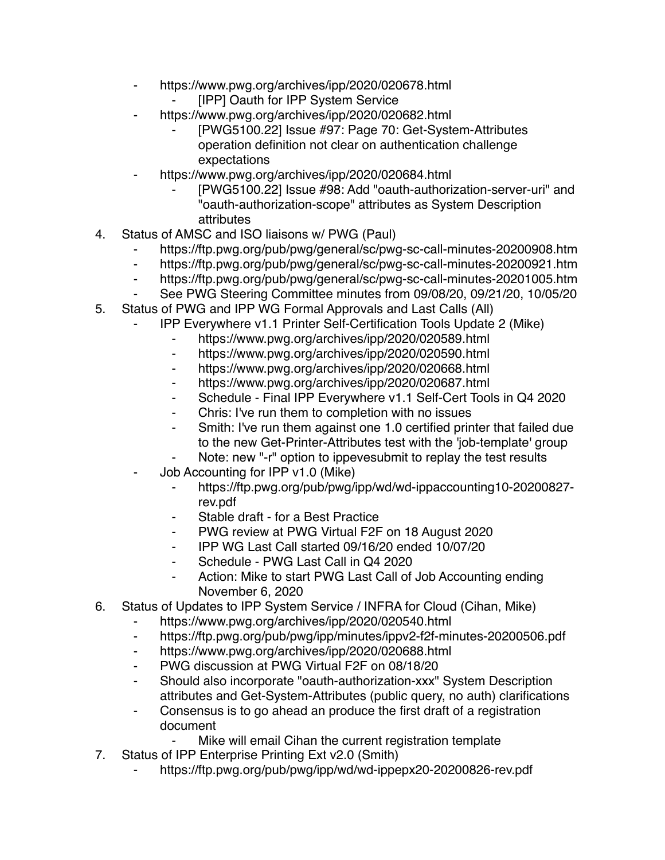- ⁃ https://www.pwg.org/archives/ipp/2020/020678.html
	- [IPP] Oauth for IPP System Service
- https://www.pwg.org/archives/ipp/2020/020682.html
	- [PWG5100.22] Issue #97: Page 70: Get-System-Attributes operation definition not clear on authentication challenge expectations
- https://www.pwg.org/archives/ipp/2020/020684.html
	- [PWG5100.22] Issue #98: Add "oauth-authorization-server-uri" and "oauth-authorization-scope" attributes as System Description attributes
- 4. Status of AMSC and ISO liaisons w/ PWG (Paul)
	- ⁃ https://ftp.pwg.org/pub/pwg/general/sc/pwg-sc-call-minutes-20200908.htm
	- ⁃ https://ftp.pwg.org/pub/pwg/general/sc/pwg-sc-call-minutes-20200921.htm
	- ⁃ https://ftp.pwg.org/pub/pwg/general/sc/pwg-sc-call-minutes-20201005.htm
	- See PWG Steering Committee minutes from 09/08/20, 09/21/20, 10/05/20
- 5. Status of PWG and IPP WG Formal Approvals and Last Calls (All)
	- ⁃ IPP Everywhere v1.1 Printer Self-Certification Tools Update 2 (Mike)
		- ⁃ https://www.pwg.org/archives/ipp/2020/020589.html
		- ⁃ https://www.pwg.org/archives/ipp/2020/020590.html
		- ⁃ https://www.pwg.org/archives/ipp/2020/020668.html
		- https://www.pwg.org/archives/ipp/2020/020687.html
		- ⁃ Schedule Final IPP Everywhere v1.1 Self-Cert Tools in Q4 2020
		- Chris: I've run them to completion with no issues
		- ⁃ Smith: I've run them against one 1.0 certified printer that failed due to the new Get-Printer-Attributes test with the 'job-template' group
		- Note: new "-r" option to ippevesubmit to replay the test results
	- Job Accounting for IPP v1.0 (Mike)
		- ⁃ https://ftp.pwg.org/pub/pwg/ipp/wd/wd-ippaccounting10-20200827 rev.pdf
		- ⁃ Stable draft for a Best Practice
		- ⁃ PWG review at PWG Virtual F2F on 18 August 2020
		- ⁃ IPP WG Last Call started 09/16/20 ended 10/07/20
		- Schedule PWG Last Call in Q4 2020
		- ⁃ Action: Mike to start PWG Last Call of Job Accounting ending November 6, 2020
- 6. Status of Updates to IPP System Service / INFRA for Cloud (Cihan, Mike)
	- ⁃ https://www.pwg.org/archives/ipp/2020/020540.html
	- ⁃ https://ftp.pwg.org/pub/pwg/ipp/minutes/ippv2-f2f-minutes-20200506.pdf
	- ⁃ https://www.pwg.org/archives/ipp/2020/020688.html
	- ⁃ PWG discussion at PWG Virtual F2F on 08/18/20
	- ⁃ Should also incorporate "oauth-authorization-xxx" System Description attributes and Get-System-Attributes (public query, no auth) clarifications
	- Consensus is to go ahead an produce the first draft of a registration document
		- Mike will email Cihan the current registration template
- 7. Status of IPP Enterprise Printing Ext v2.0 (Smith)
	- https://ftp.pwg.org/pub/pwg/ipp/wd/wd-ippepx20-20200826-rev.pdf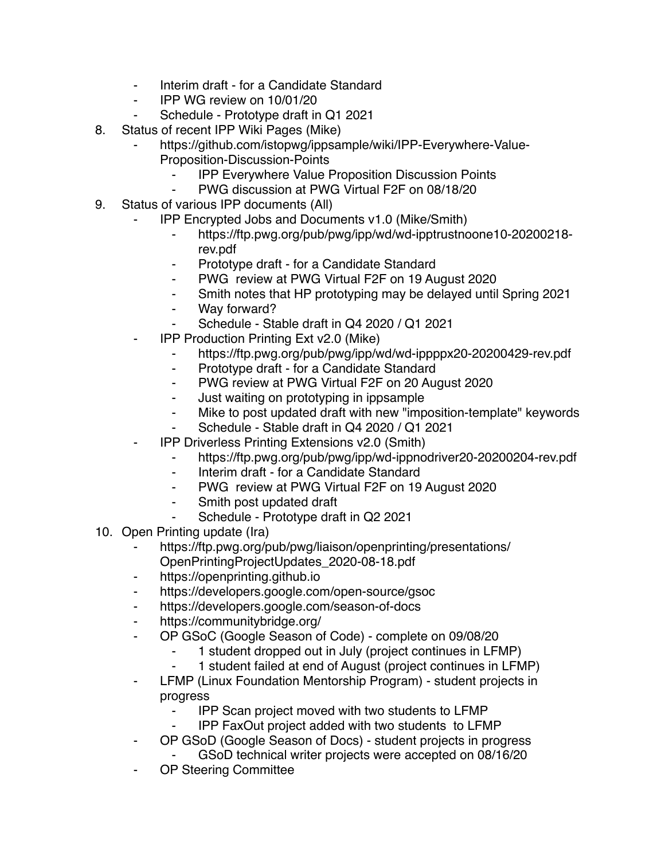- Interim draft for a Candidate Standard
- ⁃ IPP WG review on 10/01/20
- Schedule Prototype draft in Q1 2021
- 8. Status of recent IPP Wiki Pages (Mike)
	- https://github.com/istopwg/ippsample/wiki/IPP-Everywhere-Value-Proposition-Discussion-Points
		- **IPP Everywhere Value Proposition Discussion Points**
		- PWG discussion at PWG Virtual F2F on 08/18/20
- 9. Status of various IPP documents (All)
	- ⁃ IPP Encrypted Jobs and Documents v1.0 (Mike/Smith)
		- ⁃ https://ftp.pwg.org/pub/pwg/ipp/wd/wd-ipptrustnoone10-20200218 rev.pdf
		- Prototype draft for a Candidate Standard
		- ⁃ PWG review at PWG Virtual F2F on 19 August 2020
		- ⁃ Smith notes that HP prototyping may be delayed until Spring 2021
		- Way forward?
		- Schedule Stable draft in Q4 2020 / Q1 2021
	- **IPP Production Printing Ext v2.0 (Mike)** 
		- https://ftp.pwg.org/pub/pwg/ipp/wd/wd-ippppx20-20200429-rev.pdf
		- ⁃ Prototype draft for a Candidate Standard
		- ⁃ PWG review at PWG Virtual F2F on 20 August 2020
		- ⁃ Just waiting on prototyping in ippsample
		- ⁃ Mike to post updated draft with new "imposition-template" keywords
		- Schedule Stable draft in Q4 2020 / Q1 2021
	- **IPP Driverless Printing Extensions v2.0 (Smith)** 
		- ⁃ https://ftp.pwg.org/pub/pwg/ipp/wd-ippnodriver20-20200204-rev.pdf
		- ⁃ Interim draft for a Candidate Standard
		- PWG review at PWG Virtual F2F on 19 August 2020
		- Smith post updated draft
		- Schedule Prototype draft in Q2 2021
- 10. Open Printing update (Ira)
	- https://ftp.pwg.org/pub/pwg/liaison/openprinting/presentations/ OpenPrintingProjectUpdates\_2020-08-18.pdf
	- https://openprinting.github.io
	- ⁃ https://developers.google.com/open-source/gsoc
	- ⁃ https://developers.google.com/season-of-docs
	- ⁃ https://communitybridge.org/
	- OP GSoC (Google Season of Code) complete on 09/08/20
		- 1 student dropped out in July (project continues in LFMP)
		- ⁃ 1 student failed at end of August (project continues in LFMP)
	- ⁃ LFMP (Linux Foundation Mentorship Program) student projects in progress
		- ⁃ IPP Scan project moved with two students to LFMP
		- ⁃ IPP FaxOut project added with two students to LFMP
	- ⁃ OP GSoD (Google Season of Docs) student projects in progress
		- GSoD technical writer projects were accepted on 08/16/20
	- OP Steering Committee